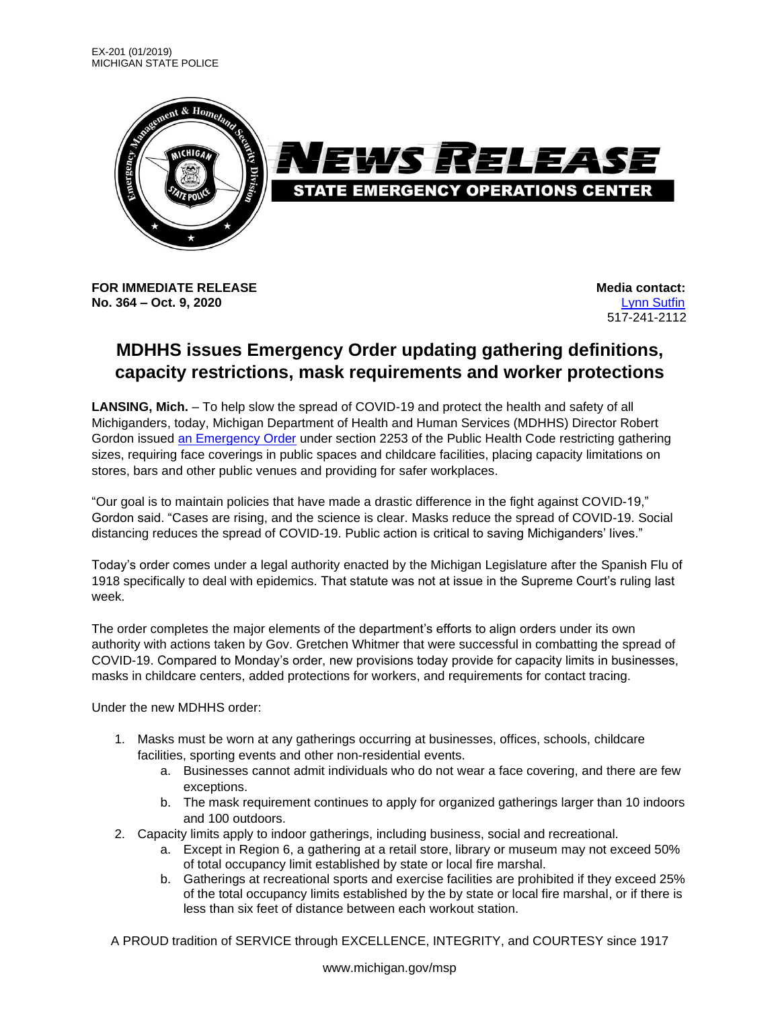

**FOR IMMEDIATE RELEASE Media** contact: **No. 364 – Oct. 9, 2020** [Lynn Sutfin](mailto:Sutfinl1@Michigan.gov)

517-241-2112

## **MDHHS issues Emergency Order updating gathering definitions, capacity restrictions, mask requirements and worker protections**

**LANSING, Mich.** – To help slow the spread of COVID-19 and protect the health and safety of all Michiganders, today, Michigan Department of Health and Human Services (MDHHS) Director Robert Gordon issued [an Emergency Order](https://www.michigan.gov/coronavirus/0,9753,7-406-98178_98455-541962--,00.html) under section 2253 of the Public Health Code restricting gathering sizes, requiring face coverings in public spaces and childcare facilities, placing capacity limitations on stores, bars and other public venues and providing for safer workplaces.

"Our goal is to maintain policies that have made a drastic difference in the fight against COVID-19," Gordon said. "Cases are rising, and the science is clear. Masks reduce the spread of COVID-19. Social distancing reduces the spread of COVID-19. Public action is critical to saving Michiganders' lives."

Today's order comes under a legal authority enacted by the Michigan Legislature after the Spanish Flu of 1918 specifically to deal with epidemics. That statute was not at issue in the Supreme Court's ruling last week.

The order completes the major elements of the department's efforts to align orders under its own authority with actions taken by Gov. Gretchen Whitmer that were successful in combatting the spread of COVID-19. Compared to Monday's order, new provisions today provide for capacity limits in businesses, masks in childcare centers, added protections for workers, and requirements for contact tracing.

Under the new MDHHS order:

- 1. Masks must be worn at any gatherings occurring at businesses, offices, schools, childcare facilities, sporting events and other non-residential events.
	- a. Businesses cannot admit individuals who do not wear a face covering, and there are few exceptions.
	- b. The mask requirement continues to apply for organized gatherings larger than 10 indoors and 100 outdoors.
- 2. Capacity limits apply to indoor gatherings, including business, social and recreational.
	- a. Except in Region 6, a gathering at a retail store, library or museum may not exceed 50% of total occupancy limit established by state or local fire marshal.
	- b. Gatherings at recreational sports and exercise facilities are prohibited if they exceed 25% of the total occupancy limits established by the by state or local fire marshal, or if there is less than six feet of distance between each workout station.

A PROUD tradition of SERVICE through EXCELLENCE, INTEGRITY, and COURTESY since 1917